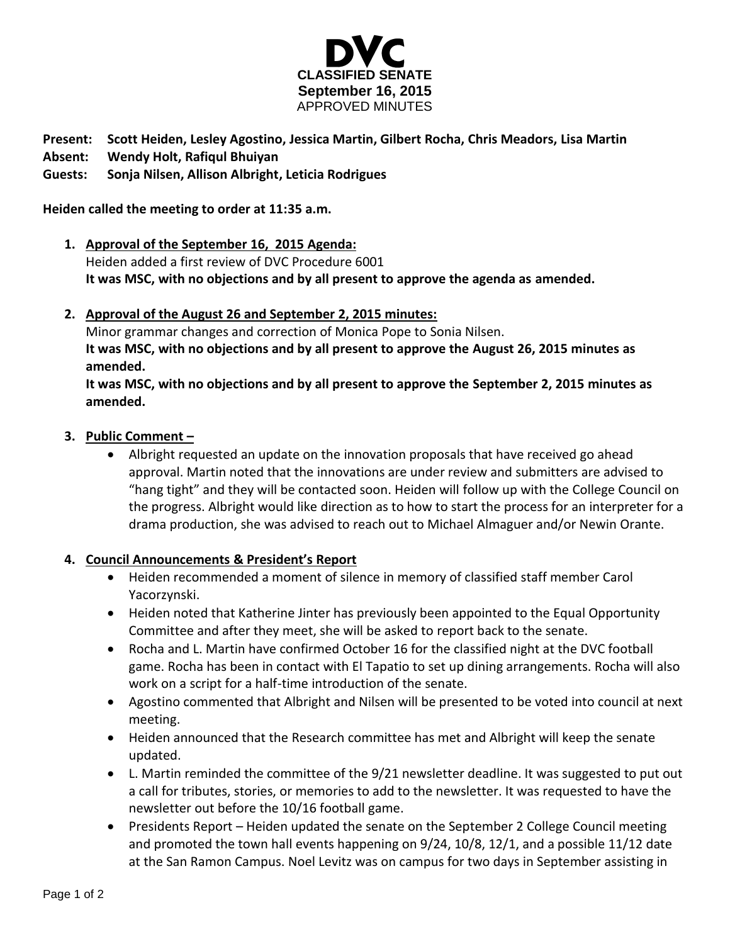

# **Present: Scott Heiden, Lesley Agostino, Jessica Martin, Gilbert Rocha, Chris Meadors, Lisa Martin**

**Absent: Wendy Holt, Rafiqul Bhuiyan**

## **Guests: Sonja Nilsen, Allison Albright, Leticia Rodrigues**

#### **Heiden called the meeting to order at 11:35 a.m.**

**1. Approval of the September 16, 2015 Agenda:**

Heiden added a first review of DVC Procedure 6001 **It was MSC, with no objections and by all present to approve the agenda as amended.**

## **2. Approval of the August 26 and September 2, 2015 minutes:**

Minor grammar changes and correction of Monica Pope to Sonia Nilsen. **It was MSC, with no objections and by all present to approve the August 26, 2015 minutes as amended.**

**It was MSC, with no objections and by all present to approve the September 2, 2015 minutes as amended.**

## **3. Public Comment –**

 Albright requested an update on the innovation proposals that have received go ahead approval. Martin noted that the innovations are under review and submitters are advised to "hang tight" and they will be contacted soon. Heiden will follow up with the College Council on the progress. Albright would like direction as to how to start the process for an interpreter for a drama production, she was advised to reach out to Michael Almaguer and/or Newin Orante.

## **4. Council Announcements & President's Report**

- Heiden recommended a moment of silence in memory of classified staff member Carol Yacorzynski.
- Heiden noted that Katherine Jinter has previously been appointed to the Equal Opportunity Committee and after they meet, she will be asked to report back to the senate.
- Rocha and L. Martin have confirmed October 16 for the classified night at the DVC football game. Rocha has been in contact with El Tapatio to set up dining arrangements. Rocha will also work on a script for a half-time introduction of the senate.
- Agostino commented that Albright and Nilsen will be presented to be voted into council at next meeting.
- Heiden announced that the Research committee has met and Albright will keep the senate updated.
- L. Martin reminded the committee of the 9/21 newsletter deadline. It was suggested to put out a call for tributes, stories, or memories to add to the newsletter. It was requested to have the newsletter out before the 10/16 football game.
- Presidents Report Heiden updated the senate on the September 2 College Council meeting and promoted the town hall events happening on 9/24, 10/8, 12/1, and a possible 11/12 date at the San Ramon Campus. Noel Levitz was on campus for two days in September assisting in